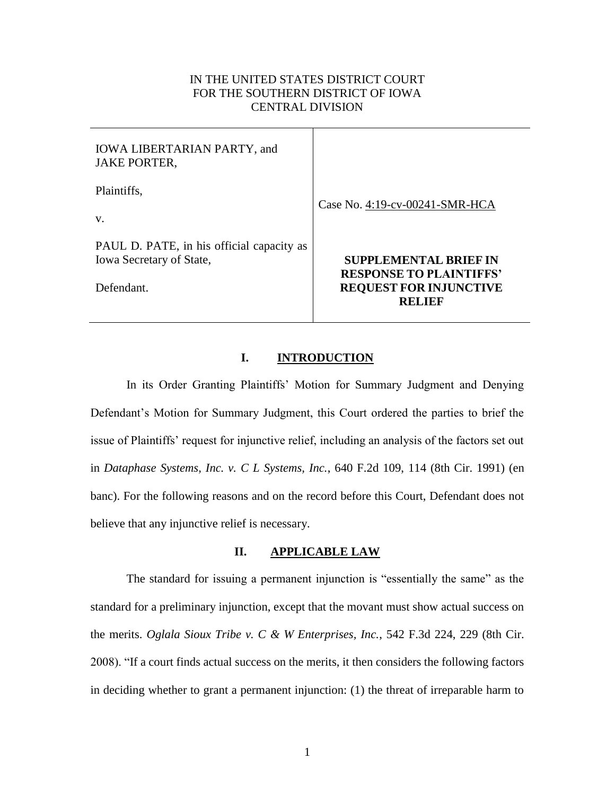# IN THE UNITED STATES DISTRICT COURT FOR THE SOUTHERN DISTRICT OF IOWA CENTRAL DIVISION

| <b>IOWA LIBERTARIAN PARTY, and</b><br><b>JAKE PORTER,</b>                                  |                                                                                                                  |
|--------------------------------------------------------------------------------------------|------------------------------------------------------------------------------------------------------------------|
| Plaintiffs,<br>V.                                                                          | Case No. 4:19-cv-00241-SMR-HCA                                                                                   |
| PAUL D. PATE, in his official capacity as<br><b>Iowa Secretary of State,</b><br>Defendant. | <b>SUPPLEMENTAL BRIEF IN</b><br><b>RESPONSE TO PLAINTIFFS'</b><br><b>REQUEST FOR INJUNCTIVE</b><br><b>RELIEF</b> |

#### **I. INTRODUCTION**

In its Order Granting Plaintiffs' Motion for Summary Judgment and Denying Defendant's Motion for Summary Judgment, this Court ordered the parties to brief the issue of Plaintiffs' request for injunctive relief, including an analysis of the factors set out in *Dataphase Systems, Inc. v. C L Systems, Inc.*, 640 F.2d 109, 114 (8th Cir. 1991) (en banc). For the following reasons and on the record before this Court, Defendant does not believe that any injunctive relief is necessary.

## **II. APPLICABLE LAW**

The standard for issuing a permanent injunction is "essentially the same" as the standard for a preliminary injunction, except that the movant must show actual success on the merits. *Oglala Sioux Tribe v. C & W Enterprises, Inc.*, 542 F.3d 224, 229 (8th Cir. 2008). "If a court finds actual success on the merits, it then considers the following factors in deciding whether to grant a permanent injunction: (1) the threat of irreparable harm to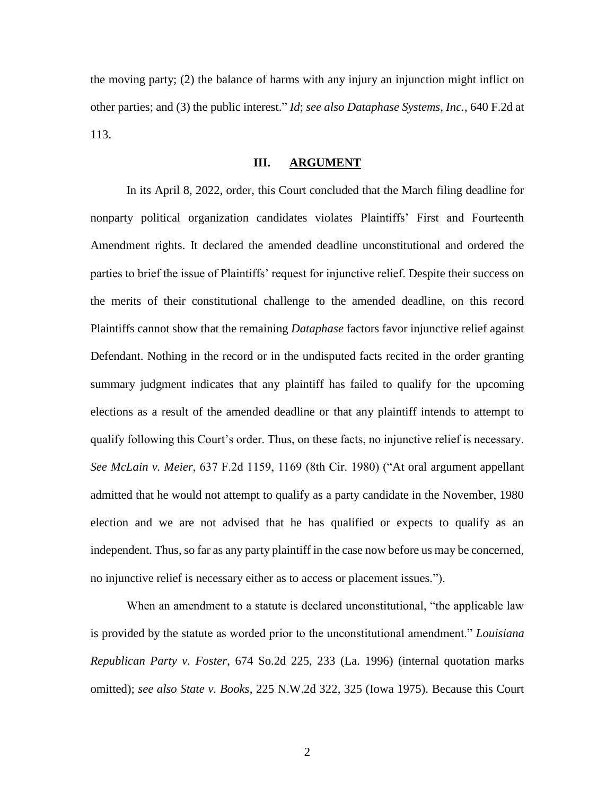the moving party; (2) the balance of harms with any injury an injunction might inflict on other parties; and (3) the public interest." *Id*; *see also Dataphase Systems, Inc.*, 640 F.2d at 113.

#### **III. ARGUMENT**

In its April 8, 2022, order, this Court concluded that the March filing deadline for nonparty political organization candidates violates Plaintiffs' First and Fourteenth Amendment rights. It declared the amended deadline unconstitutional and ordered the parties to brief the issue of Plaintiffs' request for injunctive relief. Despite their success on the merits of their constitutional challenge to the amended deadline, on this record Plaintiffs cannot show that the remaining *Dataphase* factors favor injunctive relief against Defendant. Nothing in the record or in the undisputed facts recited in the order granting summary judgment indicates that any plaintiff has failed to qualify for the upcoming elections as a result of the amended deadline or that any plaintiff intends to attempt to qualify following this Court's order. Thus, on these facts, no injunctive relief is necessary. *See McLain v. Meier*, 637 F.2d 1159, 1169 (8th Cir. 1980) ("At oral argument appellant admitted that he would not attempt to qualify as a party candidate in the November, 1980 election and we are not advised that he has qualified or expects to qualify as an independent. Thus, so far as any party plaintiff in the case now before us may be concerned, no injunctive relief is necessary either as to access or placement issues.").

When an amendment to a statute is declared unconstitutional, "the applicable law is provided by the statute as worded prior to the unconstitutional amendment." *Louisiana Republican Party v. Foster*, 674 So.2d 225, 233 (La. 1996) (internal quotation marks omitted); *see also State v. Books*, 225 N.W.2d 322, 325 (Iowa 1975). Because this Court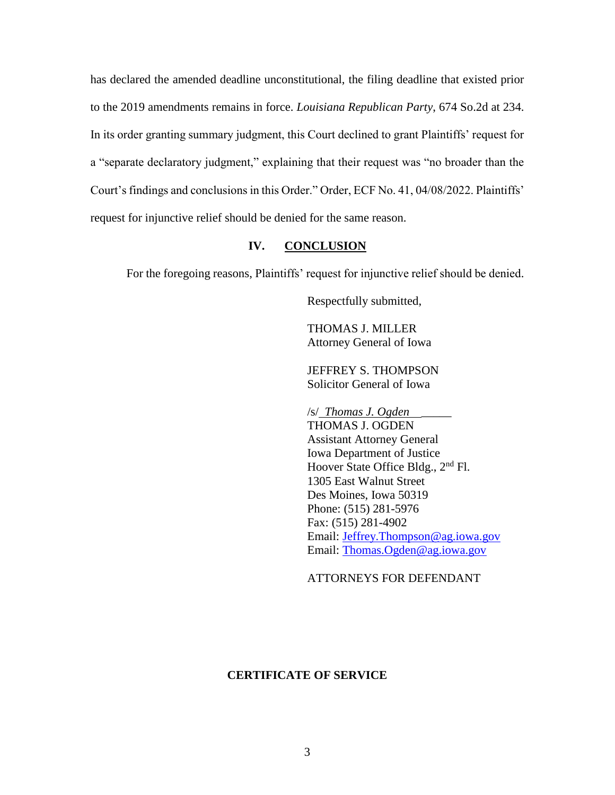has declared the amended deadline unconstitutional, the filing deadline that existed prior to the 2019 amendments remains in force. *Louisiana Republican Party*, 674 So.2d at 234. In its order granting summary judgment, this Court declined to grant Plaintiffs' request for a "separate declaratory judgment," explaining that their request was "no broader than the Court's findings and conclusions in this Order." Order, ECF No. 41, 04/08/2022. Plaintiffs' request for injunctive relief should be denied for the same reason.

## **IV. CONCLUSION**

For the foregoing reasons, Plaintiffs' request for injunctive relief should be denied.

Respectfully submitted,

THOMAS J. MILLER Attorney General of Iowa

JEFFREY S. THOMPSON Solicitor General of Iowa

/s/ *Thomas J. Ogden* \_\_\_\_\_ THOMAS J. OGDEN Assistant Attorney General Iowa Department of Justice Hoover State Office Bldg., 2<sup>nd</sup> Fl. 1305 East Walnut Street Des Moines, Iowa 50319 Phone: (515) 281-5976 Fax: (515) 281-4902 Email: [Jeffrey.Thompson@ag.iowa.gov](mailto:Jeffrey.Thompson@ag.iowa.gov) Email: [Thomas.Ogden@ag.iowa.gov](mailto:Thomas.Ogden@ag.iowa.gov)

ATTORNEYS FOR DEFENDANT

# **CERTIFICATE OF SERVICE**